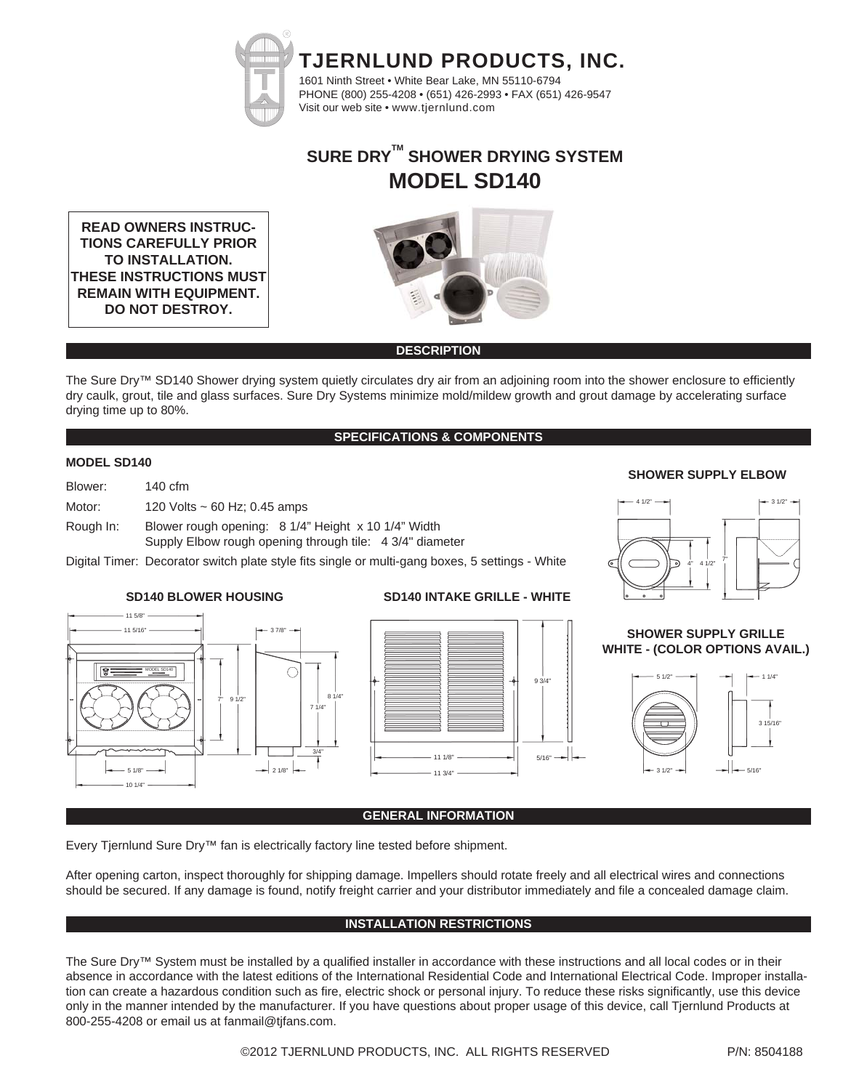

# **SURE DRYTM SHOWER DRYING SYSTEM MODEL SD140**

**READ OWNERS INSTRUC-TIONS CAREFULLY PRIOR TO INSTALLATION. THESE INSTRUCTIONS MUST REMAIN WITH EQUIPMENT. DO NOT DESTROY.**



#### **DESCRIPTION**

The Sure Dry™ SD140 Shower drying system quietly circulates dry air from an adjoining room into the shower enclosure to efficiently dry caulk, grout, tile and glass surfaces. Sure Dry Systems minimize mold/mildew growth and grout damage by accelerating surface drying time up to 80%.

#### **SPECIFICATIONS & COMPONENTS**

#### **MODEL SD140**

| Blower:   | $140 \text{ cfm}$                                                                                               |
|-----------|-----------------------------------------------------------------------------------------------------------------|
| Motor:    | 120 Volts $\sim$ 60 Hz; 0.45 amps                                                                               |
| Rough In: | Blower rough opening: 8 1/4" Height x 10 1/4" Width<br>Supply Elbow rough opening through tile: 4 3/4" diameter |

Digital Timer: Decorator switch plate style fits single or multi-gang boxes, 5 settings - White



#### INTAKE GRILLE, WHITE, WITH SCREWS **SD140 BLOWER HOUSING SD140 INTAKE GRILLE - WHITE**



#### **SHOWER SUPPLY ELBOW**



#### **SHOWER SUPPLY GRILLE WHITE - (COLOR OPTIONS AVAIL.)**



#### **GENERAL INFORMATION**

Every Tjernlund Sure Dry™ fan is electrically factory line tested before shipment.

After opening carton, inspect thoroughly for shipping damage. Impellers should rotate freely and all electrical wires and connections should be secured. If any damage is found, notify freight carrier and your distributor immediately and file a concealed damage claim.

### **INSTALLATION RESTRICTIONS**

The Sure Dry™ System must be installed by a qualified installer in accordance with these instructions and all local codes or in their absence in accordance with the latest editions of the International Residential Code and International Electrical Code. Improper installation can create a hazardous condition such as fire, electric shock or personal injury. To reduce these risks significantly, use this device only in the manner intended by the manufacturer. If you have questions about proper usage of this device, call Tjernlund Products at 800-255-4208 or email us at fanmail@tjfans.com.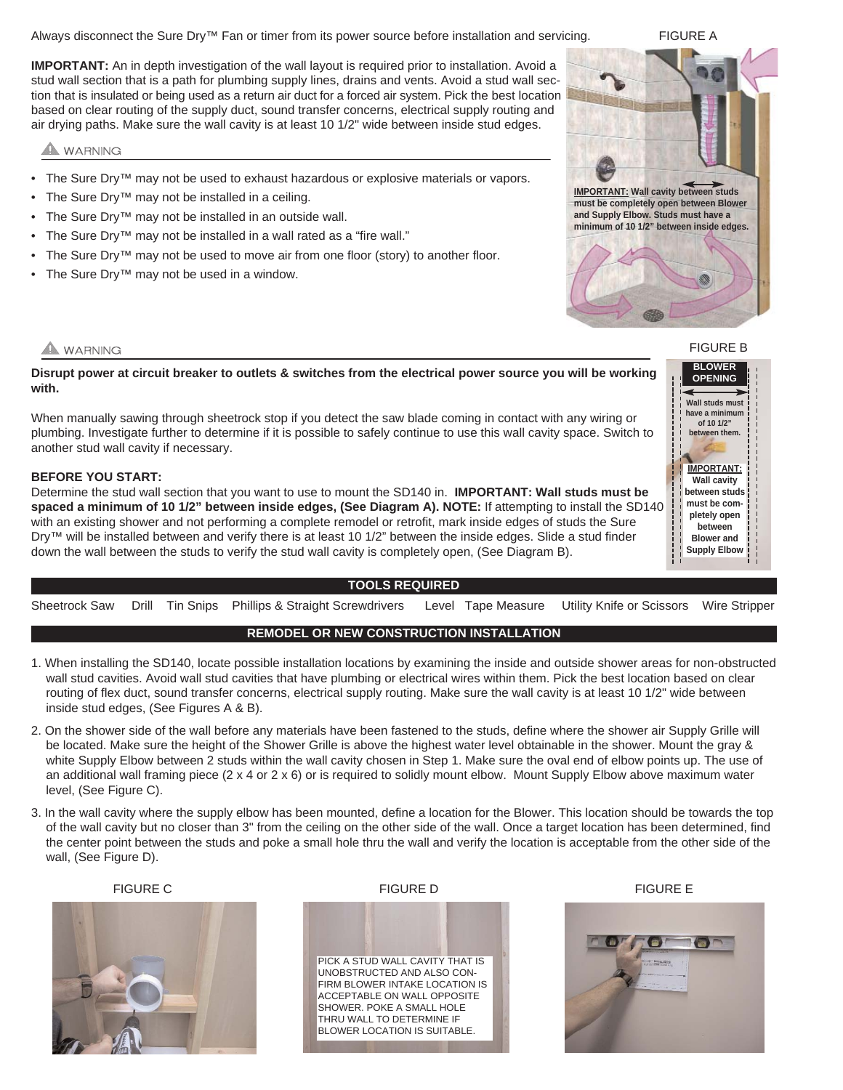Always disconnect the Sure Dry™ Fan or timer from its power source before installation and servicing.

**IMPORTANT:** An in depth investigation of the wall layout is required prior to installation. Avoid a stud wall section that is a path for plumbing supply lines, drains and vents. Avoid a stud wall section that is insulated or being used as a return air duct for a forced air system. Pick the best location based on clear routing of the supply duct, sound transfer concerns, electrical supply routing and air drying paths. Make sure the wall cavity is at least 10 1/2" wide between inside stud edges.

# WARNING

- The Sure Dry™ may not be used to exhaust hazardous or explosive materials or vapors.
- The Sure Dry™ may not be installed in a ceiling.
- The Sure Dry™ may not be installed in an outside wall.
- The Sure Dry™ may not be installed in a wall rated as a "fire wall."
- The Sure Dry<sup>™</sup> may not be used to move air from one floor (story) to another floor.
- The Sure Dry™ may not be used in a window.



## **WARNING**

**Disrupt power at circuit breaker to outlets & switches from the electrical power source you will be working with.** 

When manually sawing through sheetrock stop if you detect the saw blade coming in contact with any wiring or plumbing. Investigate further to determine if it is possible to safely continue to use this wall cavity space. Switch to another stud wall cavity if necessary.

#### **BEFORE YOU START:**

Determine the stud wall section that you want to use to mount the SD140 in. **IMPORTANT: Wall studs must be spaced a minimum of 10 1/2" between inside edges, (See Diagram A). NOTE:** If attempting to install the SD140 with an existing shower and not performing a complete remodel or retrofit, mark inside edges of studs the Sure Dry<sup>™</sup> will be installed between and verify there is at least 10 1/2" between the inside edges. Slide a stud finder down the wall between the studs to verify the stud wall cavity is completely open, (See Diagram B).

#### **TOOLS REQUIRED**

Sheetrock Saw Drill Tin Snips Phillips & Straight Screwdrivers Level Tape Measure Utility Knife or Scissors Wire Stripper

### **REMODEL OR NEW CONSTRUCTION INSTALLATION**

- 1. When installing the SD140, locate possible installation locations by examining the inside and outside shower areas for non-obstructed wall stud cavities. Avoid wall stud cavities that have plumbing or electrical wires within them. Pick the best location based on clear routing of flex duct, sound transfer concerns, electrical supply routing. Make sure the wall cavity is at least 10 1/2" wide between inside stud edges, (See Figures A & B).
- 2. On the shower side of the wall before any materials have been fastened to the studs, define where the shower air Supply Grille will be located. Make sure the height of the Shower Grille is above the highest water level obtainable in the shower. Mount the gray & white Supply Elbow between 2 studs within the wall cavity chosen in Step 1. Make sure the oval end of elbow points up. The use of an additional wall framing piece (2 x 4 or 2 x 6) or is required to solidly mount elbow. Mount Supply Elbow above maximum water level, (See Figure C).
- 3. In the wall cavity where the supply elbow has been mounted, define a location for the Blower. This location should be towards the top of the wall cavity but no closer than 3" from the ceiling on the other side of the wall. Once a target location has been determined, find the center point between the studs and poke a small hole thru the wall and verify the location is acceptable from the other side of the wall, (See Figure D).



FIGURE A

FIGURE B **BLOWER OPENING**





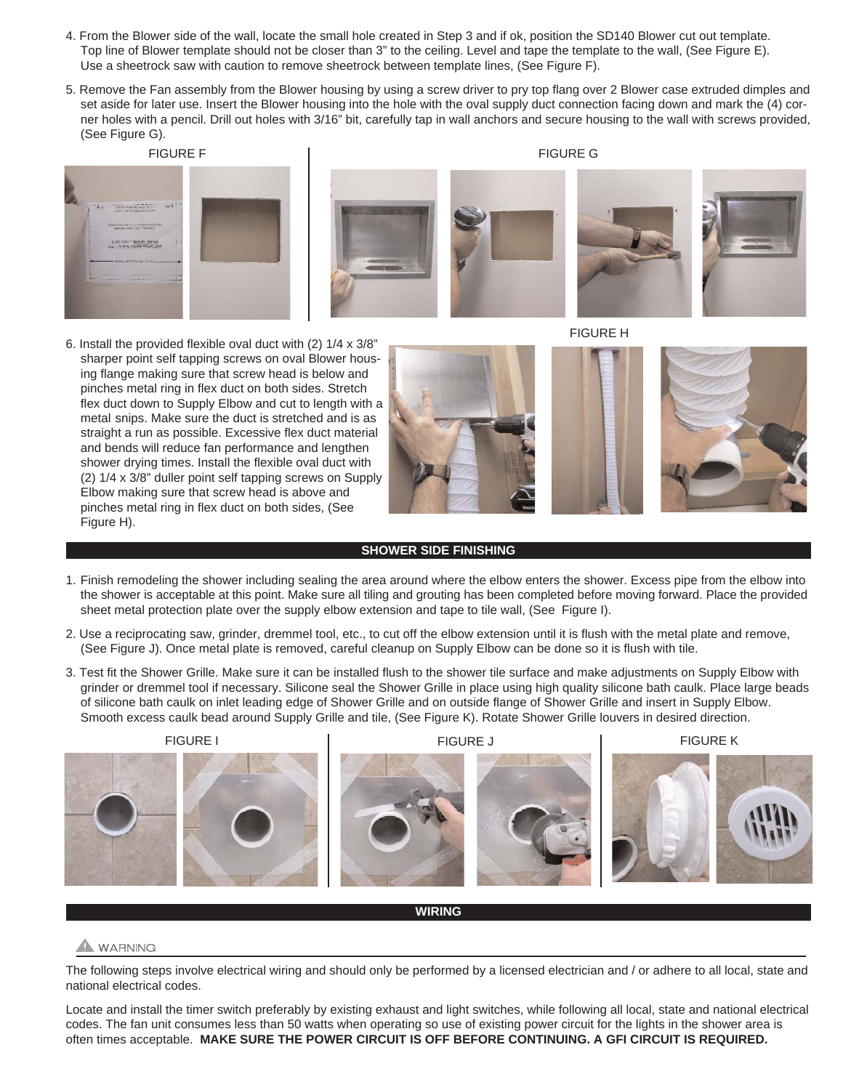- 4. From the Blower side of the wall, locate the small hole created in Step 3 and if ok, position the SD140 Blower cut out template. Top line of Blower template should not be closer than 3" to the ceiling. Level and tape the template to the wall, (See Figure E). Use a sheetrock saw with caution to remove sheetrock between template lines, (See Figure F).
- 5. Remove the Fan assembly from the Blower housing by using a screw driver to pry top flang over 2 Blower case extruded dimples and set aside for later use. Insert the Blower housing into the hole with the oval supply duct connection facing down and mark the (4) corner holes with a pencil. Drill out holes with 3/16" bit, carefully tap in wall anchors and secure housing to the wall with screws provided, (See Figure G).
	- FIGURE F

FIGURE G



6. Install the provided flexible oval duct with (2) 1/4 x 3/8" sharper point self tapping screws on oval Blower housing flange making sure that screw head is below and pinches metal ring in flex duct on both sides. Stretch flex duct down to Supply Elbow and cut to length with a metal snips. Make sure the duct is stretched and is as straight a run as possible. Excessive flex duct material and bends will reduce fan performance and lengthen shower drying times. Install the flexible oval duct with (2) 1/4 x 3/8" duller point self tapping screws on Supply Elbow making sure that screw head is above and pinches metal ring in flex duct on both sides, (See Figure H).



FIGURE H



#### **SHOWER SIDE FINISHING**

- 1. Finish remodeling the shower including sealing the area around where the elbow enters the shower. Excess pipe from the elbow into the shower is acceptable at this point. Make sure all tiling and grouting has been completed before moving forward. Place the provided sheet metal protection plate over the supply elbow extension and tape to tile wall, (See Figure I).
- 2. Use a reciprocating saw, grinder, dremmel tool, etc., to cut off the elbow extension until it is flush with the metal plate and remove, (See Figure J). Once metal plate is removed, careful cleanup on Supply Elbow can be done so it is flush with tile.
- 3. Test fit the Shower Grille. Make sure it can be installed flush to the shower tile surface and make adjustments on Supply Elbow with grinder or dremmel tool if necessary. Silicone seal the Shower Grille in place using high quality silicone bath caulk. Place large beads of silicone bath caulk on inlet leading edge of Shower Grille and on outside flange of Shower Grille and insert in Supply Elbow. Smooth excess caulk bead around Supply Grille and tile, (See Figure K). Rotate Shower Grille louvers in desired direction.







**WIRING**

# A WARNING

The following steps involve electrical wiring and should only be performed by a licensed electrician and / or adhere to all local, state and national electrical codes.

Locate and install the timer switch preferably by existing exhaust and light switches, while following all local, state and national electrical codes. The fan unit consumes less than 50 watts when operating so use of existing power circuit for the lights in the shower area is often times acceptable. **MAKE SURE THE POWER CIRCUIT IS OFF BEFORE CONTINUING. A GFI CIRCUIT IS REQUIRED.**